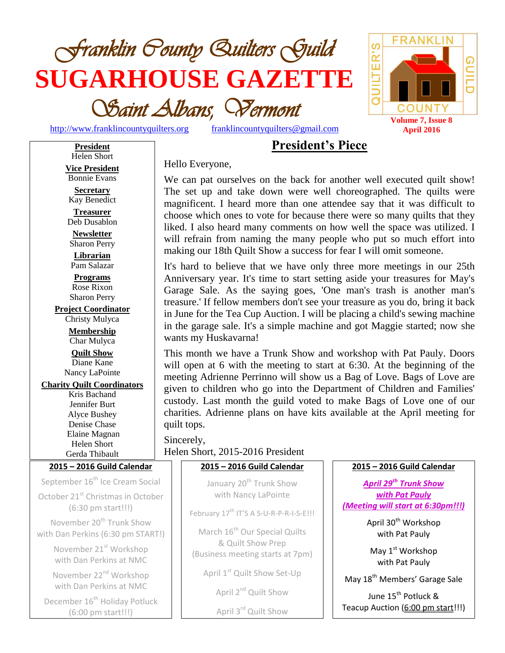

[http://www.franklincountyquilters.org](http://www.franklincountyquilters.org/) [franklincountyquilters@gmail.com](mailto:franklincountyquilters@gmail.com)



# **President's Piece**

**President** Helen Short **Vice President** Bonnie Evans

**Secretary** Kay Benedict

**Treasurer** Deb Dusablon

**Newsletter** Sharon Perry **Librarian**

Pam Salazar **Programs**

Rose Rixon Sharon Perry

**Project Coordinator**

Christy Mulyca **Membership** Char Mulyca

**Quilt Show** Diane Kane Nancy LaPointe

**Charity Quilt Coordinators**

Kris Bachand Jennifer Burt Alyce Bushey Denise Chase Elaine Magnan Helen Short Gerda Thibault

**2015 – 2016 Guild Calendar**

September 16<sup>th</sup> Ice Cream Social October 21<sup>st</sup> Christmas in October

(6:30 pm start!!!)

November 20<sup>th</sup> Trunk Show with Dan Perkins (6:30 pm START!)

> November 21<sup>st</sup> Workshop with Dan Perkins at NMC

November 22<sup>nd</sup> Workshop with Dan Perkins at NMC

December 16<sup>th</sup> Holiday Potluck (6:00 pm start!!!)

Hello Everyone,

We can pat ourselves on the back for another well executed quilt show! The set up and take down were well choreographed. The quilts were magnificent. I heard more than one attendee say that it was difficult to choose which ones to vote for because there were so many quilts that they liked. I also heard many comments on how well the space was utilized. I will refrain from naming the many people who put so much effort into making our 18th Quilt Show a success for fear I will omit someone.

It's hard to believe that we have only three more meetings in our 25th Anniversary year. It's time to start setting aside your treasures for May's Garage Sale. As the saying goes, 'One man's trash is another man's treasure.' If fellow members don't see your treasure as you do, bring it back in June for the Tea Cup Auction. I will be placing a child's sewing machine in the garage sale. It's a simple machine and got Maggie started; now she wants my Huskavarna!

This month we have a Trunk Show and workshop with Pat Pauly. Doors will open at 6 with the meeting to start at 6:30. At the beginning of the meeting Adrienne Perrinno will show us a Bag of Love. Bags of Love are given to children who go into the Department of Children and Families' custody. Last month the guild voted to make Bags of Love one of our charities. Adrienne plans on have kits available at the April meeting for quilt tops.

Sincerely, Helen Short, 2015-2016 President

### **2015 – 2016 Guild Calendar**

January 20<sup>th</sup> Trunk Show with Nancy LaPointe

February 17<sup>th</sup> IT'S A S-U-R-P-R-I-S-E!!!

March 16<sup>th</sup> Our Special Quilts & Quilt Show Prep (Business meeting starts at 7pm)

April 1<sup>st</sup> Quilt Show Set-Up

April 2<sup>nd</sup> Quilt Show

April 3rd Quilt Show

### **2015 – 2016 Guild Calendar**

*April 29th Trunk Show with Pat Pauly (Meeting will start at 6:30pm!!!)*

> April 30<sup>th</sup> Workshop with Pat Pauly

May 1<sup>st</sup> Workshop with Pat Pauly

May 18<sup>th</sup> Members' Garage Sale

June 15<sup>th</sup> Potluck <mark>&</mark> Teacup Auction (6:00 pm start!!!)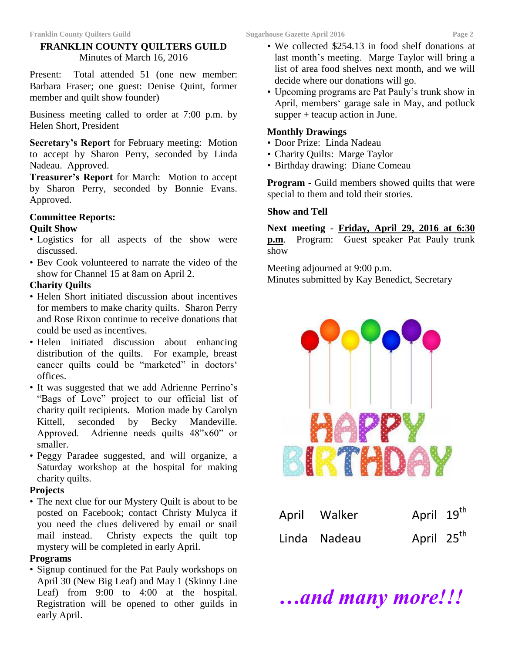### **FRANKLIN COUNTY QUILTERS GUILD** Minutes of March 16, 2016

Present: Total attended 51 (one new member: Barbara Fraser; one guest: Denise Quint, former member and quilt show founder)

Business meeting called to order at 7:00 p.m. by Helen Short, President

**Secretary's Report** for February meeting: Motion to accept by Sharon Perry, seconded by Linda Nadeau. Approved.

**Treasurer's Report** for March: Motion to accept by Sharon Perry, seconded by Bonnie Evans. Approved.

#### **Committee Reports: Quilt Show**

- Logistics for all aspects of the show were
- discussed.
- Bev Cook volunteered to narrate the video of the show for Channel 15 at 8am on April 2.

### **Charity Quilts**

- Helen Short initiated discussion about incentives for members to make charity quilts. Sharon Perry and Rose Rixon continue to receive donations that could be used as incentives.
- Helen initiated discussion about enhancing distribution of the quilts. For example, breast cancer quilts could be "marketed" in doctors' offices.
- It was suggested that we add Adrienne Perrino's "Bags of Love" project to our official list of charity quilt recipients. Motion made by Carolyn Kittell, seconded by Becky Mandeville. Approved. Adrienne needs quilts 48"x60" or smaller.
- Peggy Paradee suggested, and will organize, a Saturday workshop at the hospital for making charity quilts.

### **Projects**

• The next clue for our Mystery Quilt is about to be posted on Facebook; contact Christy Mulyca if you need the clues delivered by email or snail mail instead. Christy expects the quilt top mystery will be completed in early April.

### **Programs**

• Signup continued for the Pat Pauly workshops on April 30 (New Big Leaf) and May 1 (Skinny Line Leaf) from 9:00 to 4:00 at the hospital. Registration will be opened to other guilds in early April.

- We collected \$254.13 in food shelf donations at last month's meeting. Marge Taylor will bring a list of area food shelves next month, and we will decide where our donations will go.
- Upcoming programs are Pat Pauly's trunk show in April, members' garage sale in May, and potluck supper + teacup action in June.

#### **Monthly Drawings**

- Door Prize: Linda Nadeau
- Charity Quilts: Marge Taylor
- Birthday drawing: Diane Comeau

**Program -** Guild members showed quilts that were special to them and told their stories.

#### **Show and Tell**

**Next meeting** - **Friday, April 29, 2016 at 6:30** 

**p.m**. Program: Guest speaker Pat Pauly trunk show

Meeting adjourned at 9:00 p.m. Minutes submitted by Kay Benedict, Secretary



| April Walker | April 19 <sup>th</sup> |  |
|--------------|------------------------|--|
| Linda Nadeau | April 25 <sup>th</sup> |  |

*…and many more!!!*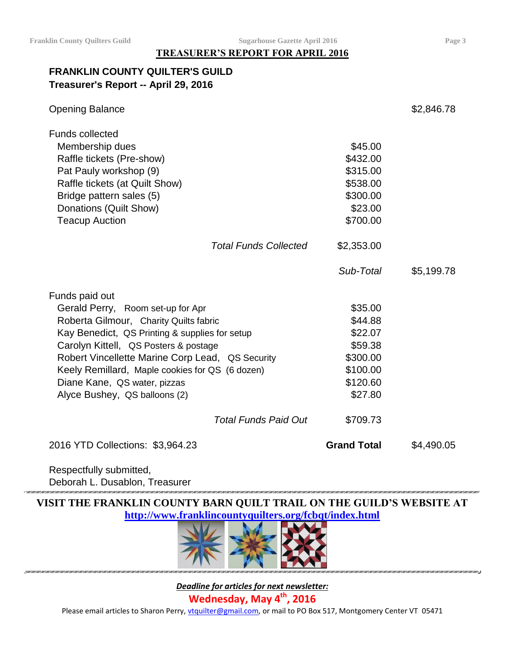## **TREASURER'S REPORT FOR APRIL 2016**

## **FRANKLIN COUNTY QUILTER'S GUILD Treasurer's Report -- April 29, 2016**

| <b>Opening Balance</b>                           |                    | \$2,846.78 |
|--------------------------------------------------|--------------------|------------|
| <b>Funds collected</b>                           |                    |            |
| Membership dues                                  | \$45.00            |            |
| Raffle tickets (Pre-show)                        | \$432.00           |            |
| Pat Pauly workshop (9)                           | \$315.00           |            |
| Raffle tickets (at Quilt Show)                   | \$538.00           |            |
| Bridge pattern sales (5)                         | \$300.00           |            |
| Donations (Quilt Show)                           | \$23.00            |            |
| <b>Teacup Auction</b>                            | \$700.00           |            |
| <b>Total Funds Collected</b>                     | \$2,353.00         |            |
|                                                  | Sub-Total          | \$5,199.78 |
| Funds paid out                                   |                    |            |
| Gerald Perry, Room set-up for Apr                | \$35.00            |            |
| Roberta Gilmour, Charity Quilts fabric           | \$44.88            |            |
| Kay Benedict, QS Printing & supplies for setup   | \$22.07            |            |
| Carolyn Kittell, QS Posters & postage            | \$59.38            |            |
| Robert Vincellette Marine Corp Lead, QS Security | \$300.00           |            |
| Keely Remillard, Maple cookies for QS (6 dozen)  | \$100.00           |            |
| Diane Kane, QS water, pizzas                     | \$120.60           |            |
| Alyce Bushey, QS balloons (2)                    | \$27.80            |            |
| <b>Total Funds Paid Out</b>                      | \$709.73           |            |
| 2016 YTD Collections: \$3,964.23                 | <b>Grand Total</b> | \$4,490.05 |

Respectfully submitted, Deborah L. Dusablon, Treasurer

**VISIT THE FRANKLIN COUNTY BARN QUILT TRAIL ON THE GUILD'S WEBSITE AT <http://www.franklincountyquilters.org/fcbqt/index.html>**



*Deadline for articles for next newsletter:* **Wednesday, May 4 th , 2016** Please email articles to Sharon Perry, [vtquilter@gmail.com,](mailto:vtquilter@gmail.com) or mail to PO Box 517, Montgomery Center VT 05471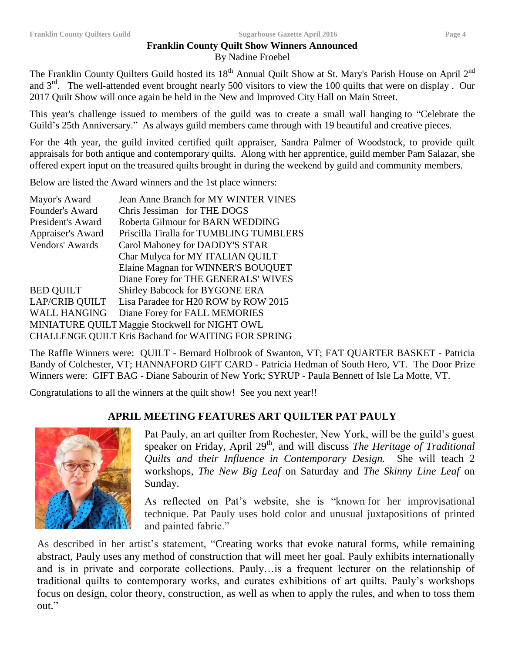#### **Franklin County Quilt Show Winners Announced** By Nadine Froebel

The Franklin County Quilters Guild hosted its 18<sup>th</sup> Annual Quilt Show at St. Mary's Parish House on April 2<sup>nd</sup> and  $3<sup>rd</sup>$ . The well-attended event brought nearly 500 visitors to view the 100 quilts that were on display. Our

2017 Quilt Show will once again be held in the New and Improved City Hall on Main Street.

This year's challenge issued to members of the guild was to create a small wall hanging to "Celebrate the Guild's 25th Anniversary." As always guild members came through with 19 beautiful and creative pieces.

For the 4th year, the guild invited certified quilt appraiser, Sandra Palmer of Woodstock, to provide quilt appraisals for both antique and contemporary quilts. Along with her apprentice, guild member Pam Salazar, she offered expert input on the treasured quilts brought in during the weekend by guild and community members.

Below are listed the Award winners and the 1st place winners:

| Mayor's Award         | <b>Jean Anne Branch for MY WINTER VINES</b>         |
|-----------------------|-----------------------------------------------------|
| Founder's Award       | Chris Jessiman for THE DOGS                         |
| President's Award     | Roberta Gilmour for BARN WEDDING                    |
| Appraiser's Award     | Priscilla Tiralla for TUMBLING TUMBLERS             |
| Vendors' Awards       | Carol Mahoney for DADDY'S STAR                      |
|                       | Char Mulyca for MY ITALIAN QUILT                    |
|                       | Elaine Magnan for WINNER'S BOUQUET                  |
|                       | Diane Forey for THE GENERALS' WIVES                 |
| <b>BED QUILT</b>      | Shirley Babcock for BYGONE ERA                      |
| <b>LAP/CRIB QUILT</b> | Lisa Paradee for H20 ROW by ROW 2015                |
| <b>WALL HANGING</b>   | Diane Forey for FALL MEMORIES                       |
|                       | MINIATURE QUILT Maggie Stockwell for NIGHT OWL      |
|                       | CHALLENGE QUILT Kris Bachand for WAITING FOR SPRING |
|                       |                                                     |

The Raffle Winners were: QUILT - Bernard Holbrook of Swanton, VT; FAT QUARTER BASKET - Patricia Bandy of Colchester, VT; HANNAFORD GIFT CARD - Patricia Hedman of South Hero, VT. The Door Prize Winners were: GIFT BAG - Diane Sabourin of New York; SYRUP - Paula Bennett of Isle La Motte, VT.

Congratulations to all the winners at the quilt show! See you next year!!

## **APRIL MEETING FEATURES ART QUILTER PAT PAULY**



Pat Pauly, an art quilter from Rochester, New York, will be the guild's guest speaker on Friday, April 29<sup>th</sup>, and will discuss *The Heritage of Traditional Quilts and their Influence in Contemporary Design.* She will teach 2 workshops, *The New Big Leaf* on Saturday and *The Skinny Line Leaf* on Sunday.

As reflected on Pat's website, she is "known for her improvisational technique. Pat Pauly uses bold color and unusual juxtapositions of printed and painted fabric."

As described in her artist's statement, "Creating works that evoke natural forms, while remaining abstract, Pauly uses any method of construction that will meet her goal. Pauly exhibits internationally and is in private and corporate collections. Pauly…is a frequent lecturer on the relationship of traditional quilts to contemporary works, and curates exhibitions of art quilts. Pauly's workshops focus on design, color theory, construction, as well as when to apply the rules, and when to toss them out."